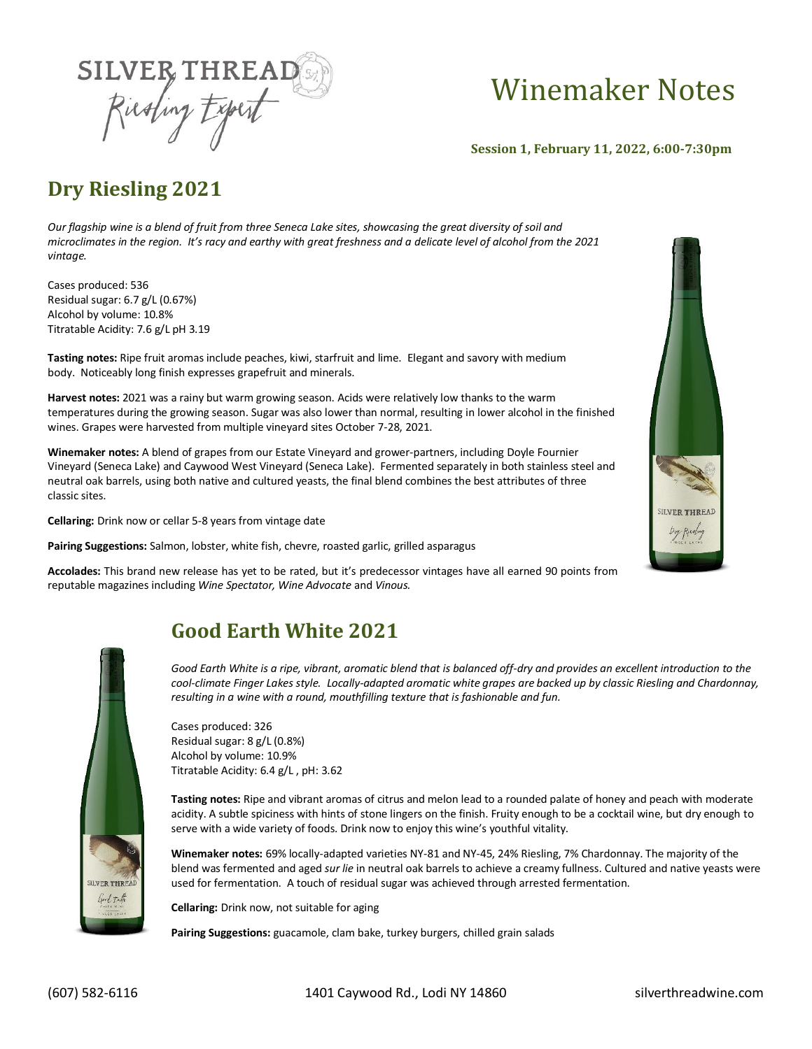

# Winemaker Notes

 **Session 1, February 11, 2022, 6:00-7:30pm**

# **Dry Riesling 2021**

*Our flagship wine is a blend of fruit from three Seneca Lake sites, showcasing the great diversity of soil and microclimates in the region. It's racy and earthy with great freshness and a delicate level of alcohol from the 2021 vintage.*

Cases produced: 536 Residual sugar: 6.7 g/L (0.67%) Alcohol by volume: 10.8% Titratable Acidity: 7.6 g/L pH 3.19

**Tasting notes:** Ripe fruit aromas include peaches, kiwi, starfruit and lime. Elegant and savory with medium body. Noticeably long finish expresses grapefruit and minerals.

**Harvest notes:** 2021 was a rainy but warm growing season. Acids were relatively low thanks to the warm temperatures during the growing season. Sugar was also lower than normal, resulting in lower alcohol in the finished wines. Grapes were harvested from multiple vineyard sites October 7-28, 2021.

**Winemaker notes:** A blend of grapes from our Estate Vineyard and grower-partners, including Doyle Fournier Vineyard (Seneca Lake) and Caywood West Vineyard (Seneca Lake). Fermented separately in both stainless steel and neutral oak barrels, using both native and cultured yeasts, the final blend combines the best attributes of three classic sites.

**Cellaring:** Drink now or cellar 5-8 years from vintage date

**Pairing Suggestions:** Salmon, lobster, white fish, chevre, roasted garlic, grilled asparagus

**Accolades:** This brand new release has yet to be rated, but it's predecessor vintages have all earned 90 points from reputable magazines including *Wine Spectator, Wine Advocate* and *Vinous.*



## **Good Earth White 2021**

*Good Earth White is a ripe, vibrant, aromatic blend that is balanced off-dry and provides an excellent introduction to the cool-climate Finger Lakes style. Locally-adapted aromatic white grapes are backed up by classic Riesling and Chardonnay, resulting in a wine with a round, mouthfilling texture that is fashionable and fun.*

Cases produced: 326 Residual sugar: 8 g/L (0.8%) Alcohol by volume: 10.9% Titratable Acidity: 6.4 g/L , pH: 3.62

**Tasting notes:** Ripe and vibrant aromas of citrus and melon lead to a rounded palate of honey and peach with moderate acidity. A subtle spiciness with hints of stone lingers on the finish. Fruity enough to be a cocktail wine, but dry enough to serve with a wide variety of foods. Drink now to enjoy this wine's youthful vitality.

**Winemaker notes:** 69% locally-adapted varieties NY-81 and NY-45, 24% Riesling, 7% Chardonnay. The majority of the blend was fermented and aged *sur lie* in neutral oak barrels to achieve a creamy fullness. Cultured and native yeasts were used for fermentation. A touch of residual sugar was achieved through arrested fermentation.

**Cellaring:** Drink now, not suitable for aging

Pairing Suggestions: guacamole, clam bake, turkey burgers, chilled grain salads

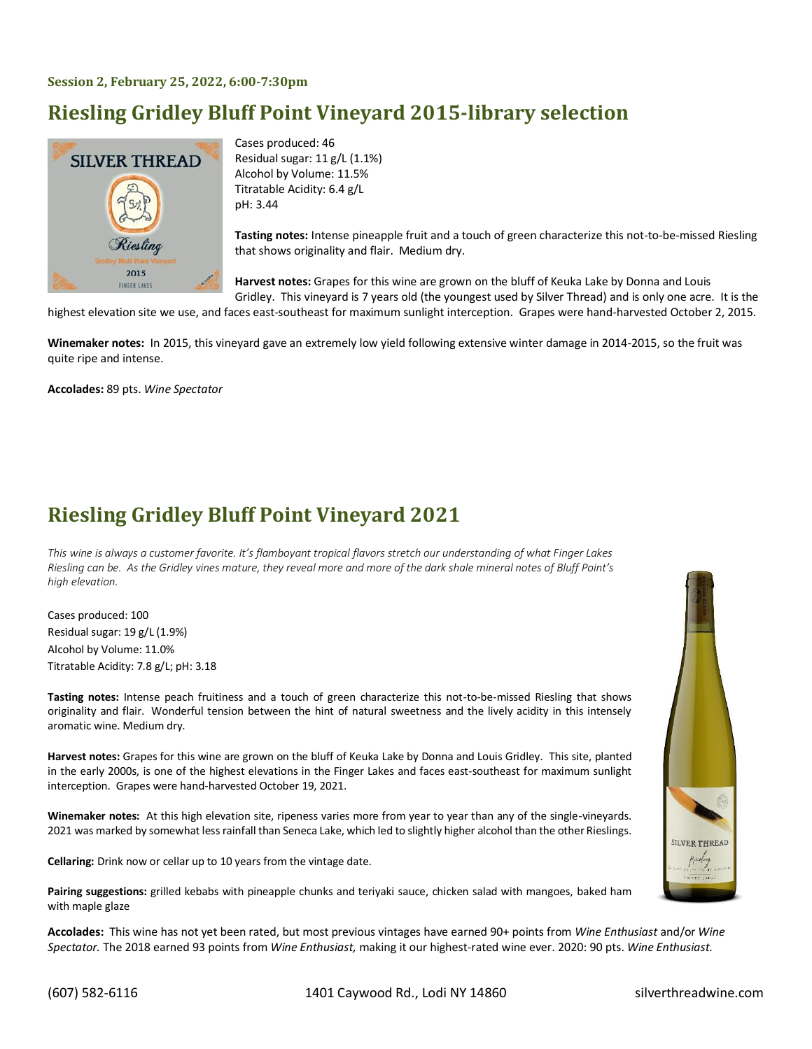#### **Session 2, February 25, 2022, 6:00-7:30pm**

# **Riesling Gridley Bluff Point Vineyard 2015-library selection**



Cases produced: 46 Residual sugar: 11 g/L (1.1%) Alcohol by Volume: 11.5% Titratable Acidity: 6.4 g/L pH: 3.44

**Tasting notes:** Intense pineapple fruit and a touch of green characterize this not-to-be-missed Riesling that shows originality and flair. Medium dry.

**Harvest notes:** Grapes for this wine are grown on the bluff of Keuka Lake by Donna and Louis Gridley. This vineyard is 7 years old (the youngest used by Silver Thread) and is only one acre. It is the

highest elevation site we use, and faces east-southeast for maximum sunlight interception. Grapes were hand-harvested October 2, 2015.

**Winemaker notes:** In 2015, this vineyard gave an extremely low yield following extensive winter damage in 2014-2015, so the fruit was quite ripe and intense.

**Accolades:** 89 pts. *Wine Spectator*

#### **Riesling Gridley Bluff Point Vineyard 2021**

*This wine is always a customer favorite. It's flamboyant tropical flavors stretch our understanding of what Finger Lakes Riesling can be. As the Gridley vines mature, they reveal more and more of the dark shale mineral notes of Bluff Point's high elevation.*

Cases produced: 100 Residual sugar: 19 g/L (1.9%) Alcohol by Volume: 11.0% Titratable Acidity: 7.8 g/L; pH: 3.18

**Tasting notes:** Intense peach fruitiness and a touch of green characterize this not-to-be-missed Riesling that shows originality and flair. Wonderful tension between the hint of natural sweetness and the lively acidity in this intensely aromatic wine. Medium dry.

**Harvest notes:** Grapes for this wine are grown on the bluff of Keuka Lake by Donna and Louis Gridley. This site, planted in the early 2000s, is one of the highest elevations in the Finger Lakes and faces east-southeast for maximum sunlight interception. Grapes were hand-harvested October 19, 2021.

**Winemaker notes:** At this high elevation site, ripeness varies more from year to year than any of the single-vineyards. 2021 was marked by somewhat less rainfall than Seneca Lake, which led to slightly higher alcohol than the other Rieslings.

**Cellaring:** Drink now or cellar up to 10 years from the vintage date.

**Pairing suggestions:** grilled kebabs with pineapple chunks and teriyaki sauce, chicken salad with mangoes, baked ham with maple glaze

**Accolades:** This wine has not yet been rated, but most previous vintages have earned 90+ points from *Wine Enthusiast* and/or *Wine Spectator.* The 2018 earned 93 points from *Wine Enthusiast,* making it our highest-rated wine ever. 2020: 90 pts. *Wine Enthusiast.*